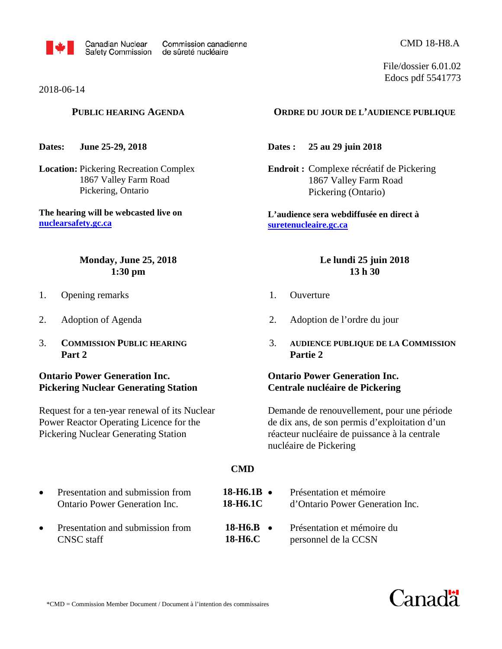

2018-06-14

#### **PUBLIC HEARING AGENDA**

**Dates: June 25-29, 2018** 

**Location:** Pickering Recreation Complex 1867 Valley Farm Road Pickering, Ontario

**The hearing will be webcasted live on [nuclearsafety.gc.ca](http://www.nuclearsafety.gc.ca/)**

## **Monday, June 25, 2018 1:30 pm**

- 1. Opening remarks
- 2. Adoption of Agenda
- 3. **COMMISSION PUBLIC HEARING Part 2**

## **Ontario Power Generation Inc. Pickering Nuclear Generating Station**

Request for a ten-year renewal of its Nuclear Power Reactor Operating Licence for the Pickering Nuclear Generating Station

## **ORDRE DU JOUR DE L'AUDIENCE PUBLIQUE**

**Dates : 25 au 29 juin 2018**

**Endroit :** Complexe récréatif de Pickering 1867 Valley Farm Road Pickering (Ontario)

**L'audience sera webdiffusée en direct à [suretenucleaire.gc.ca](http://www.suretenucleaire.gc.ca/)**

#### **Le lundi 25 juin 2018 13 h 30**

- 1. Ouverture
- 2. Adoption de l'ordre du jour
- 3. **AUDIENCE PUBLIQUE DE LA COMMISSION Partie 2**

## **Ontario Power Generation Inc. Centrale nucléaire de Pickering**

• Présentation et mémoire

Demande de renouvellement, pour une période de dix ans, de son permis d'exploitation d'un réacteur nucléaire de puissance à la centrale nucléaire de Pickering

#### **CMD**

**18-H6.1B** 

- Presentation and submission from Ontario Power Generation Inc.
- Presentation and submission from CNSC staff
- d'Ontario Power Generation Inc. • Présentation et mémoire du personnel de la CCSN **18-H6.1C 18-H6.B 18-H6.C**



File/dossier 6.01.02 Edocs pdf 5541773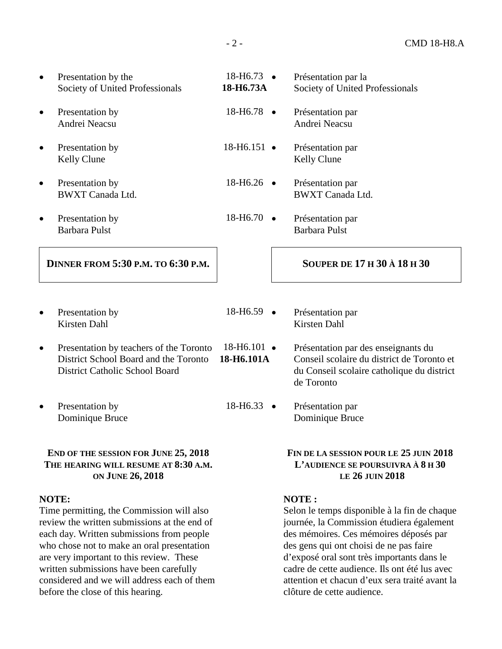| $\bullet$ | Presentation by the                       | $18 - H6.73$ $\bullet$  |           | Présentation par la                |
|-----------|-------------------------------------------|-------------------------|-----------|------------------------------------|
|           | Society of United Professionals           | 18-H6.73A               |           | Society of United Professionals    |
| $\bullet$ | Presentation by                           | $18 - H6.78$ $\bullet$  |           | Présentation par                   |
|           | Andrei Neacsu                             |                         |           | Andrei Neacsu                      |
| $\bullet$ | Presentation by                           | $18 - H6.151$ $\bullet$ |           | Présentation par                   |
|           | Kelly Clune                               |                         |           | <b>Kelly Clune</b>                 |
| $\bullet$ | Presentation by                           | $18 - H6.26$ $\bullet$  |           | Présentation par                   |
|           | <b>BWXT Canada Ltd.</b>                   |                         |           | <b>BWXT</b> Canada Ltd.            |
| $\bullet$ | Presentation by                           | 18-H <sub>6.70</sub>    | $\bullet$ | Présentation par                   |
|           | <b>Barbara Pulst</b>                      |                         |           | <b>Barbara Pulst</b>               |
|           | <b>DINNER FROM 5:30 P.M. TO 6:30 P.M.</b> |                         |           | <b>SOUPER DE 17 H 30 À 18 H 30</b> |
|           |                                           |                         |           |                                    |
|           |                                           |                         |           |                                    |
| $\bullet$ | Presentation by                           | $18 - H6.59$ $\bullet$  |           | Présentation par                   |
|           | Kirsten Dahl                              |                         |           | <b>Kirsten Dahl</b>                |

- Presentation by teachers of the Toronto District School Board and the Toronto District Catholic School Board **18-H6.101A**
- Presentation by Dominique Bruce

## **END OF THE SESSION FOR JUNE 25, 2018 THE HEARING WILL RESUME AT 8:30 A.M. ON JUNE 26, 2018**

## **NOTE:**

Time permitting, the Commission will also review the written submissions at the end of each day. Written submissions from people who chose not to make an oral presentation are very important to this review. These written submissions have been carefully considered and we will address each of them before the close of this hearing.

- 18-H6.101 • Présentation par des enseignants du Conseil scolaire du district de Toronto et du Conseil scolaire catholique du district de Toronto
- 18-H6.33 Présentation par Dominique Bruce

## **FIN DE LA SESSION POUR LE 25 JUIN 2018 L'AUDIENCE SE POURSUIVRA À 8 H 30 LE 26 JUIN 2018**

## **NOTE :**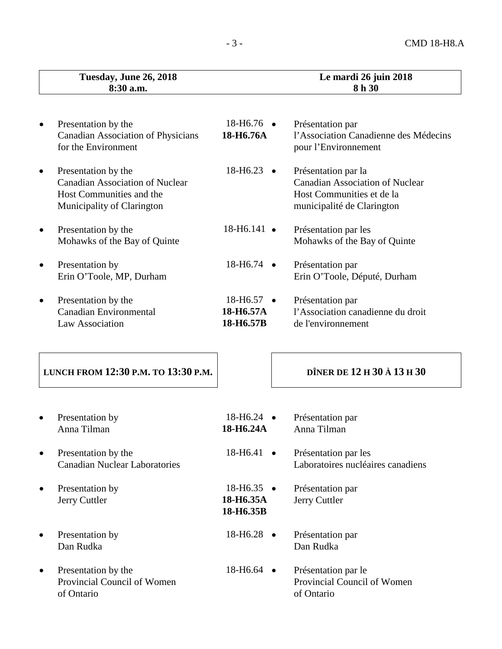|   | Tuesday, June 26, 2018<br>8:30 a.m.                                                                                     |                                                  | Le mardi 26 juin 2018<br>8 h 30                                                                                          |
|---|-------------------------------------------------------------------------------------------------------------------------|--------------------------------------------------|--------------------------------------------------------------------------------------------------------------------------|
|   |                                                                                                                         |                                                  |                                                                                                                          |
|   | Presentation by the<br><b>Canadian Association of Physicians</b><br>for the Environment                                 | $18 - H6.76$ $\bullet$<br>18-H6.76A              | Présentation par<br>l'Association Canadienne des Médecins<br>pour l'Environnement                                        |
|   | Presentation by the<br><b>Canadian Association of Nuclear</b><br>Host Communities and the<br>Municipality of Clarington | $18 - H6.23$ $\bullet$                           | Présentation par la<br><b>Canadian Association of Nuclear</b><br>Host Communities et de la<br>municipalité de Clarington |
| ٠ | Presentation by the<br>Mohawks of the Bay of Quinte                                                                     | $18 - H6.141$ $\bullet$                          | Présentation par les<br>Mohawks of the Bay of Quinte                                                                     |
|   | Presentation by<br>Erin O'Toole, MP, Durham                                                                             | 18-H6.74 •                                       | Présentation par<br>Erin O'Toole, Député, Durham                                                                         |
|   | Presentation by the<br><b>Canadian Environmental</b><br>Law Association                                                 | $18 - H6.57$ $\bullet$<br>18-H6.57A<br>18-H6.57B | Présentation par<br>l'Association canadienne du droit<br>de l'environnement                                              |
|   | LUNCH FROM 12:30 P.M. TO 13:30 P.M.                                                                                     |                                                  | DÎNER DE 12 H 30 À 13 H 30                                                                                               |
|   | Presentation by<br>Anna Tilman                                                                                          | 18-H6.24<br>18-H6.24A                            | Présentation par<br>Anna Tilman                                                                                          |
|   | Presentation by the<br><b>Canadian Nuclear Laboratories</b>                                                             | $18-H6.41$ $\bullet$                             | Présentation par les<br>Laboratoires nucléaires canadiens                                                                |
|   | Presentation by<br>Jerry Cuttler                                                                                        | $18 - H6.35$ $\bullet$<br>18-H6.35A<br>18-H6.35B | Présentation par<br>Jerry Cuttler                                                                                        |
|   | Presentation by<br>Dan Rudka                                                                                            | $18-H6.28$ •                                     | Présentation par<br>Dan Rudka                                                                                            |
|   | Presentation by the<br>Provincial Council of Women<br>of Ontario                                                        | $18 - H6.64$ •                                   | Présentation par le<br>Provincial Council of Women<br>of Ontario                                                         |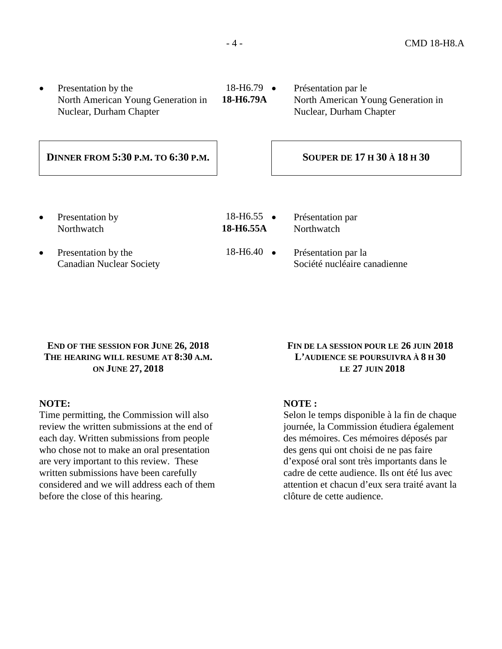- Presentation by the North American Young Generation in Nuclear, Durham Chapter
- 18-H6.79 **18-H6.79A**

• Présentation par le North American Young Generation in Nuclear, Durham Chapter

## **DINNER FROM 5:30 P.M. TO 6:30 P.M. SOUPER DE 17 H 30 À 18 H 30**

Presentation by **Northwatch** 

18-H6.55 • **18-H6.55A**

**Northwatch** 

• Présentation par

- Presentation by the Canadian Nuclear Society
- 18-H6.40 Présentation par la Société nucléaire canadienne

## **END OF THE SESSION FOR JUNE 26, 2018 THE HEARING WILL RESUME AT 8:30 A.M. ON JUNE 27, 2018**

## **NOTE:**

Time permitting, the Commission will also review the written submissions at the end of each day. Written submissions from people who chose not to make an oral presentation are very important to this review. These written submissions have been carefully considered and we will address each of them before the close of this hearing.

## **FIN DE LA SESSION POUR LE 26 JUIN 2018 L'AUDIENCE SE POURSUIVRA À 8 H 30 LE 27 JUIN 2018**

## **NOTE :**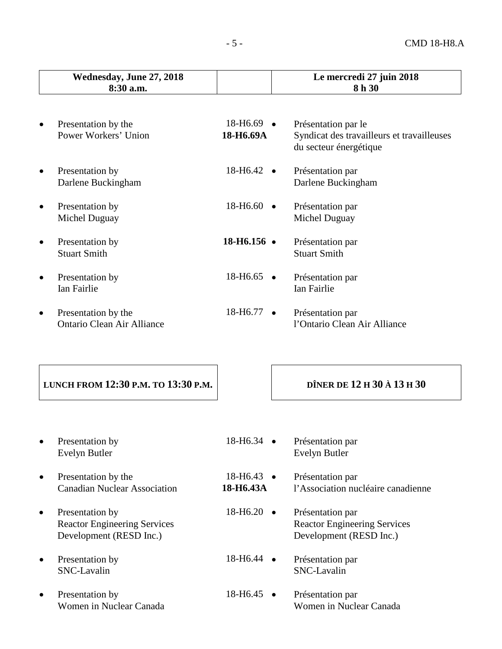|           | Wednesday, June 27, 2018<br>8:30 a.m.                                             |                             | Le mercredi 27 juin 2018<br>8h 30                                                           |  |
|-----------|-----------------------------------------------------------------------------------|-----------------------------|---------------------------------------------------------------------------------------------|--|
|           |                                                                                   |                             |                                                                                             |  |
| $\bullet$ | Presentation by the<br>Power Workers' Union                                       | $18 - H6.69$ •<br>18-H6.69A | Présentation par le<br>Syndicat des travailleurs et travailleuses<br>du secteur énergétique |  |
| $\bullet$ | Presentation by<br>Darlene Buckingham                                             | $18 - H6.42$ $\bullet$      | Présentation par<br>Darlene Buckingham                                                      |  |
| $\bullet$ | Presentation by<br>Michel Duguay                                                  | $18 - H6.60$ $\bullet$      | Présentation par<br>Michel Duguay                                                           |  |
| $\bullet$ | Presentation by<br><b>Stuart Smith</b>                                            | $18 - H6.156$ •             | Présentation par<br><b>Stuart Smith</b>                                                     |  |
| $\bullet$ | Presentation by<br>Ian Fairlie                                                    | 18-H6.65 •                  | Présentation par<br>Ian Fairlie                                                             |  |
| $\bullet$ | Presentation by the<br><b>Ontario Clean Air Alliance</b>                          | 18-H6.77 •                  | Présentation par<br>l'Ontario Clean Air Alliance                                            |  |
|           | LUNCH FROM 12:30 P.M. TO 13:30 P.M.                                               |                             | DÎNER DE 12 H 30 À 13 H 30                                                                  |  |
|           |                                                                                   |                             |                                                                                             |  |
|           | Presentation by<br><b>Evelyn Butler</b>                                           | $18 - H6.34$ $\bullet$      | Présentation par<br>Evelyn Butler                                                           |  |
| ٠         | Presentation by the<br><b>Canadian Nuclear Association</b>                        | 18-H6.43 •<br>18-H6.43A     | Présentation par<br>l'Association nucléaire canadienne                                      |  |
| $\bullet$ | Presentation by<br><b>Reactor Engineering Services</b><br>Development (RESD Inc.) | 18-H6.20<br>$\bullet$       | Présentation par<br><b>Reactor Engineering Services</b><br>Development (RESD Inc.)          |  |
| ٠         | Presentation by<br>SNC-Lavalin                                                    | $18-H6.44$ $\bullet$        | Présentation par<br>SNC-Lavalin                                                             |  |

- Presentation by Women in Nuclear Canada
- 18-H6.45 Présentation par Women in Nuclear Canada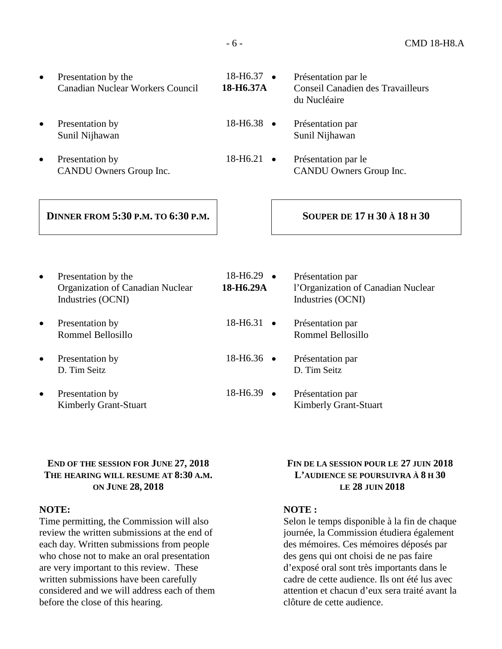| Presentation by the<br>Canadian Nuclear Workers Council | $18-H6.37 \bullet$<br>18-H6.37A | Présentation par le<br>Conseil Canadien des Travailleurs<br>du Nucléaire |
|---------------------------------------------------------|---------------------------------|--------------------------------------------------------------------------|
| Presentation by<br>Sunil Nijhawan                       | $18-H6.38$ $\bullet$            | Présentation par<br>Sunil Nijhawan                                       |

Presentation by CANDU Owners Group Inc.

## 18-H6.21 • Présentation par le CANDU Owners Group Inc.

## **DINNER FROM 5:30 P.M. TO 6:30 P.M. SOUPER DE 17 H 30 À 18 H 30**

## Presentation by the Organization of Canadian Nuclear Industries (OCNI)

- Presentation by Rommel Bellosillo
- Presentation by D. Tim Seitz
- Presentation by Kimberly Grant-Stuart

18-H6.29 • **18-H6.29A**  • Présentation par l'Organization of Canadian Nuclear Industries (OCNI) 18-H6.31 • Présentation par Rommel Bellosillo 18-H6.36 • Présentation par D. Tim Seitz 18-H6.39 • Présentation par Kimberly Grant-Stuart

## **END OF THE SESSION FOR JUNE 27, 2018 THE HEARING WILL RESUME AT 8:30 A.M. ON JUNE 28, 2018**

## **NOTE:**

Time permitting, the Commission will also review the written submissions at the end of each day. Written submissions from people who chose not to make an oral presentation are very important to this review. These written submissions have been carefully considered and we will address each of them before the close of this hearing.

### **FIN DE LA SESSION POUR LE 27 JUIN 2018 L'AUDIENCE SE POURSUIVRA À 8 H 30 LE 28 JUIN 2018**

## **NOTE :**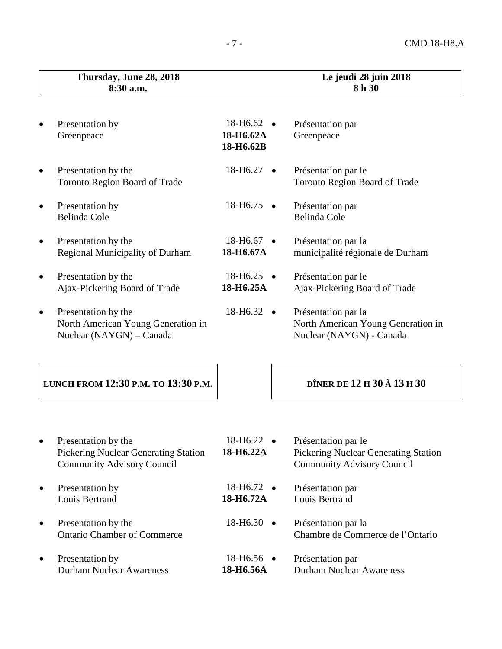| Thursday, June 28, 2018<br>8:30 a.m.                                                  |                                          | Le jeudi 28 juin 2018<br>8h 30                                                        |
|---------------------------------------------------------------------------------------|------------------------------------------|---------------------------------------------------------------------------------------|
| Presentation by<br>Greenpeace                                                         | $18 - H6.62$ •<br>18-H6.62A<br>18-H6.62B | Présentation par<br>Greenpeace                                                        |
| Presentation by the<br><b>Toronto Region Board of Trade</b>                           | 18-H6.27                                 | Présentation par le<br><b>Toronto Region Board of Trade</b>                           |
| Presentation by<br><b>Belinda Cole</b>                                                | $18-H6.75$ $\bullet$                     | Présentation par<br>Belinda Cole                                                      |
| Presentation by the                                                                   | 18-H6.67                                 | Présentation par la                                                                   |
| Regional Municipality of Durham                                                       | 18-H6.67A                                | municipalité régionale de Durham                                                      |
| Presentation by the                                                                   | $18 - H6.25$ •                           | Présentation par le                                                                   |
| Ajax-Pickering Board of Trade                                                         | 18-H6.25A                                | Ajax-Pickering Board of Trade                                                         |
| Presentation by the<br>North American Young Generation in<br>Nuclear (NAYGN) – Canada | $18 - H6.32$ $\bullet$                   | Présentation par la<br>North American Young Generation in<br>Nuclear (NAYGN) - Canada |
| LUNCH FROM 12:30 P.M. TO 13:30 P.M.                                                   |                                          | DÎNER DE 12 H 30 À 13 H 30                                                            |
| Presentation by the                                                                   | 18-H6.22                                 | Présentation par le                                                                   |
| Pickering Nuclear Generating Station                                                  | $\bullet$                                | <b>Pickering Nuclear Generating Station</b>                                           |
| <b>Community Advisory Council</b>                                                     | 18-H6.22A                                | <b>Community Advisory Council</b>                                                     |
| Presentation by                                                                       | 18-H6.72 •                               | Présentation par                                                                      |
| Louis Bertrand                                                                        | 18-H6.72A                                | Louis Bertrand                                                                        |
| Presentation by the                                                                   | 18-H6.30                                 | Présentation par la                                                                   |
| <b>Ontario Chamber of Commerce</b>                                                    | $\bullet$                                | Chambre de Commerce de l'Ontario                                                      |
| Presentation by                                                                       | 18-H6.56 •                               | Présentation par                                                                      |
| <b>Durham Nuclear Awareness</b>                                                       | 18-H6.56A                                | <b>Durham Nuclear Awareness</b>                                                       |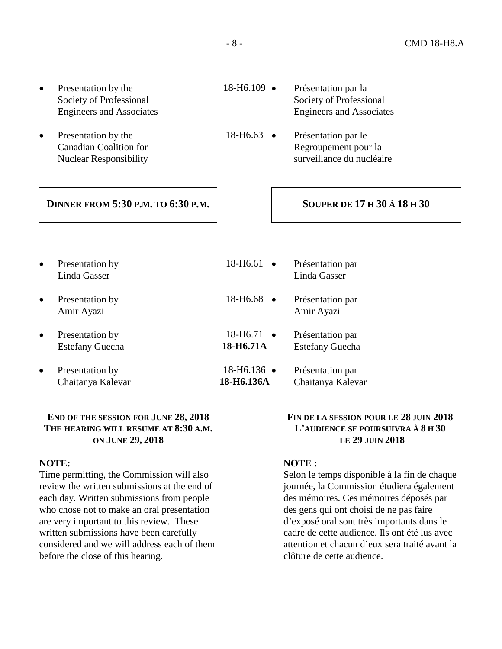- Presentation by the Society of Professional Engineers and Associates
- Presentation by the Canadian Coalition for Nuclear Responsibility
	- **DINNER FROM 5:30 P.M. TO 6:30 P.M. SOUPER DE 17 H 30 À 18 H 30**

# 18-H6.109 • Présentation par la

- Society of Professional Engineers and Associates
- 18-H6.63 Présentation par le Regroupement pour la surveillance du nucléaire

• Presentation by Linda Gasser 18-H6.61 • Présentation par Linda Gasser • Presentation by Amir Ayazi 18-H6.68 • Présentation par Amir Ayazi • Presentation by Estefany Guecha 18-H6.71 • **18-H6.71A** • Présentation par Estefany Guecha Presentation by Chaitanya Kalevar 18-H6.136 • **18-H6.136A** • Présentation par Chaitanya Kalevar

#### **END OF THE SESSION FOR JUNE 28, 2018 THE HEARING WILL RESUME AT 8:30 A.M. ON JUNE 29, 2018**

#### **NOTE:**

Time permitting, the Commission will also review the written submissions at the end of each day. Written submissions from people who chose not to make an oral presentation are very important to this review. These written submissions have been carefully considered and we will address each of them before the close of this hearing.

### **FIN DE LA SESSION POUR LE 28 JUIN 2018 L'AUDIENCE SE POURSUIVRA À 8 H 30 LE 29 JUIN 2018**

#### **NOTE :**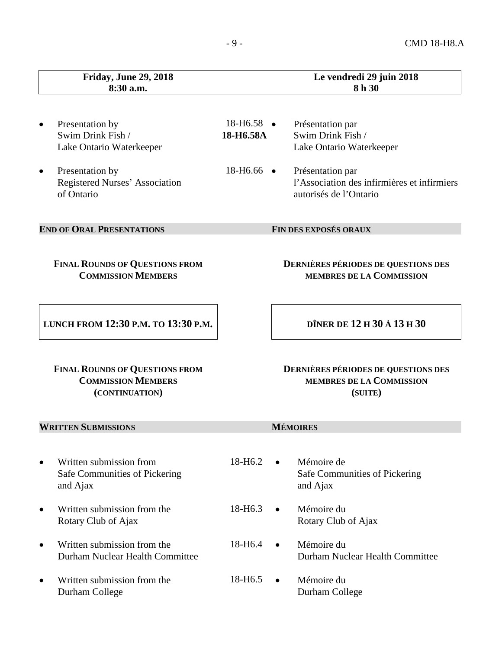|           | <b>Friday, June 29, 2018</b><br>8:30 a.m.                                            |                                     |           | Le vendredi 29 juin 2018<br>8h 30                                                         |
|-----------|--------------------------------------------------------------------------------------|-------------------------------------|-----------|-------------------------------------------------------------------------------------------|
| ٠         | Presentation by<br>Swim Drink Fish /<br>Lake Ontario Waterkeeper                     | $18 - H6.58$ $\bullet$<br>18-H6.58A |           | Présentation par<br>Swim Drink Fish /<br>Lake Ontario Waterkeeper                         |
| $\bullet$ | Presentation by<br>Registered Nurses' Association<br>of Ontario                      | $18 - H6.66$ $\bullet$              |           | Présentation par<br>l'Association des infirmières et infirmiers<br>autorisés de l'Ontario |
|           | <b>END OF ORAL PRESENTATIONS</b>                                                     |                                     |           | FIN DES EXPOSÉS ORAUX                                                                     |
|           | <b>FINAL ROUNDS OF QUESTIONS FROM</b><br><b>COMMISSION MEMBERS</b>                   |                                     |           | <b>DERNIÈRES PÉRIODES DE QUESTIONS DES</b><br>MEMBRES DE LA COMMISSION                    |
|           | LUNCH FROM 12:30 P.M. TO 13:30 P.M.                                                  |                                     |           | DÎNER DE 12 H 30 À 13 H 30                                                                |
|           | <b>FINAL ROUNDS OF QUESTIONS FROM</b><br><b>COMMISSION MEMBERS</b><br>(CONTINUATION) |                                     |           | <b>DERNIÈRES PÉRIODES DE QUESTIONS DES</b><br>MEMBRES DE LA COMMISSION<br>(SUITE)         |
|           | <b>WRITTEN SUBMISSIONS</b>                                                           |                                     |           | <b>MÉMOIRES</b>                                                                           |
| $\bullet$ | Written submission from<br>Safe Communities of Pickering<br>and Ajax                 | 18-H <sub>6.2</sub>                 | $\bullet$ | Mémoire de<br>Safe Communities of Pickering<br>and Ajax                                   |
| $\bullet$ | Written submission from the<br>Rotary Club of Ajax                                   | 18-H <sub>6.3</sub>                 | $\bullet$ | Mémoire du<br>Rotary Club of Ajax                                                         |
| $\bullet$ | Written submission from the<br>Durham Nuclear Health Committee                       | 18-H <sub>6.4</sub>                 |           | Mémoire du<br>Durham Nuclear Health Committee                                             |
| ٠         | Written submission from the<br>Durham College                                        | 18-H <sub>6.5</sub>                 | $\bullet$ | Mémoire du<br>Durham College                                                              |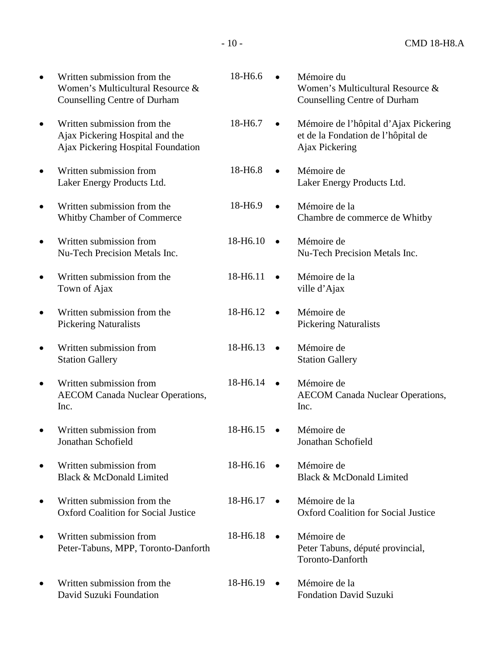|           | Written submission from the<br>Women's Multicultural Resource &<br><b>Counselling Centre of Durham</b> | 18-H6.6              |           | Mémoire du<br>Women's Multicultural Resource &<br><b>Counselling Centre of Durham</b>         |
|-----------|--------------------------------------------------------------------------------------------------------|----------------------|-----------|-----------------------------------------------------------------------------------------------|
| $\bullet$ | Written submission from the<br>Ajax Pickering Hospital and the<br>Ajax Pickering Hospital Foundation   | 18-H <sub>6.7</sub>  | $\bullet$ | Mémoire de l'hôpital d'Ajax Pickering<br>et de la Fondation de l'hôpital de<br>Ajax Pickering |
|           | Written submission from<br>Laker Energy Products Ltd.                                                  | 18-H <sub>6.8</sub>  |           | Mémoire de<br>Laker Energy Products Ltd.                                                      |
|           | Written submission from the<br>Whitby Chamber of Commerce                                              | 18-H <sub>6.9</sub>  |           | Mémoire de la<br>Chambre de commerce de Whitby                                                |
| $\bullet$ | Written submission from<br>Nu-Tech Precision Metals Inc.                                               | 18-H6.10             | $\bullet$ | Mémoire de<br>Nu-Tech Precision Metals Inc.                                                   |
| $\bullet$ | Written submission from the<br>Town of Ajax                                                            | 18-H6.11             | $\bullet$ | Mémoire de la<br>ville d'Ajax                                                                 |
|           | Written submission from the<br><b>Pickering Naturalists</b>                                            | 18-H6.12             |           | Mémoire de<br><b>Pickering Naturalists</b>                                                    |
|           | Written submission from<br><b>Station Gallery</b>                                                      | 18-H6.13             |           | Mémoire de<br><b>Station Gallery</b>                                                          |
|           | Written submission from<br><b>AECOM Canada Nuclear Operations,</b><br>Inc.                             | 18-H6.14             |           | Mémoire de<br><b>AECOM Canada Nuclear Operations,</b><br>Inc.                                 |
|           | Written submission from<br>Jonathan Schofield                                                          | 18-H <sub>6.15</sub> |           | Mémoire de<br>Jonathan Schofield                                                              |
|           | Written submission from<br>Black & McDonald Limited                                                    | 18-H <sub>6.16</sub> |           | Mémoire de<br>Black & McDonald Limited                                                        |
|           | Written submission from the<br><b>Oxford Coalition for Social Justice</b>                              | 18-H6.17             | $\bullet$ | Mémoire de la<br><b>Oxford Coalition for Social Justice</b>                                   |
|           | Written submission from<br>Peter-Tabuns, MPP, Toronto-Danforth                                         | 18-H <sub>6.18</sub> | $\bullet$ | Mémoire de<br>Peter Tabuns, député provincial,<br>Toronto-Danforth                            |
|           | Written submission from the<br>David Suzuki Foundation                                                 | 18-H <sub>6.19</sub> | $\bullet$ | Mémoire de la<br><b>Fondation David Suzuki</b>                                                |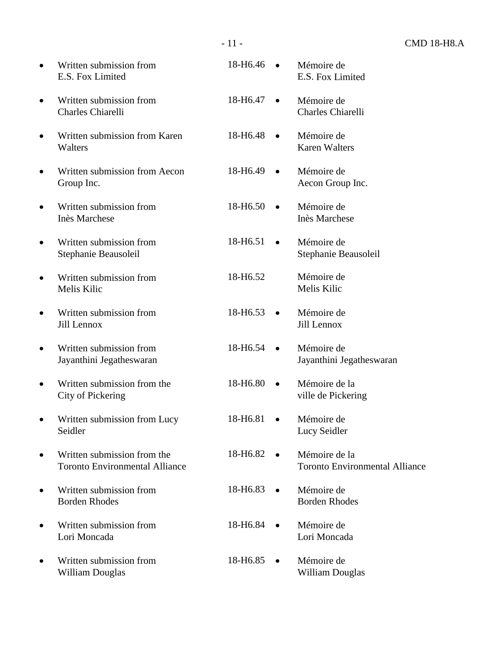| $\bullet$ | Written submission from<br>E.S. Fox Limited                          | 18-H6.46              | Mémoire de<br>E.S. Fox Limited                         |
|-----------|----------------------------------------------------------------------|-----------------------|--------------------------------------------------------|
| $\bullet$ | Written submission from<br><b>Charles Chiarelli</b>                  | 18-H6.47<br>$\bullet$ | Mémoire de<br><b>Charles Chiarelli</b>                 |
|           | Written submission from Karen<br>Walters                             | 18-H <sub>6.48</sub>  | Mémoire de<br><b>Karen Walters</b>                     |
|           | Written submission from Aecon<br>Group Inc.                          | 18-H6.49              | Mémoire de<br>Aecon Group Inc.                         |
|           | Written submission from<br><b>Inès Marchese</b>                      | 18-H6.50<br>$\bullet$ | Mémoire de<br><b>Inès Marchese</b>                     |
|           | Written submission from<br>Stephanie Beausoleil                      | 18-H6.51<br>$\bullet$ | Mémoire de<br>Stephanie Beausoleil                     |
|           | Written submission from<br>Melis Kilic                               | 18-H6.52              | Mémoire de<br>Melis Kilic                              |
|           | Written submission from<br>Jill Lennox                               | 18-H6.53              | Mémoire de<br>Jill Lennox                              |
|           | Written submission from<br>Jayanthini Jegatheswaran                  | 18-H6.54              | Mémoire de<br>Jayanthini Jegatheswaran                 |
|           | Written submission from the<br>City of Pickering                     | 18-H6.80<br>$\bullet$ | Mémoire de la<br>ville de Pickering                    |
| $\bullet$ | Written submission from Lucy<br>Seidler                              | 18-H6.81<br>$\bullet$ | Mémoire de<br>Lucy Seidler                             |
|           | Written submission from the<br><b>Toronto Environmental Alliance</b> | 18-H6.82              | Mémoire de la<br><b>Toronto Environmental Alliance</b> |
|           | Written submission from<br><b>Borden Rhodes</b>                      | 18-H6.83              | Mémoire de<br><b>Borden Rhodes</b>                     |
|           | Written submission from<br>Lori Moncada                              | 18-H6.84              | Mémoire de<br>Lori Moncada                             |
|           | Written submission from<br><b>William Douglas</b>                    | 18-H6.85              | Mémoire de<br><b>William Douglas</b>                   |

- 11 - CMD 18-H8.A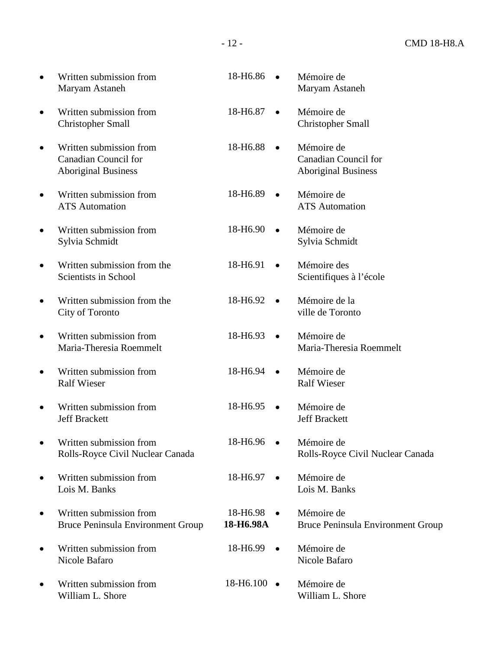| $\bullet$ | Written submission from                                                              | 18-H6.86                           | Mémoire de                                                              |
|-----------|--------------------------------------------------------------------------------------|------------------------------------|-------------------------------------------------------------------------|
|           | Maryam Astaneh                                                                       | $\bullet$                          | Maryam Astaneh                                                          |
| $\bullet$ | Written submission from                                                              | 18-H6.87                           | Mémoire de                                                              |
|           | <b>Christopher Small</b>                                                             | $\bullet$                          | <b>Christopher Small</b>                                                |
| $\bullet$ | Written submission from<br><b>Canadian Council for</b><br><b>Aboriginal Business</b> | 18-H6.88                           | Mémoire de<br><b>Canadian Council for</b><br><b>Aboriginal Business</b> |
| $\bullet$ | Written submission from                                                              | 18-H6.89                           | Mémoire de                                                              |
|           | <b>ATS</b> Automation                                                                | $\bullet$                          | <b>ATS</b> Automation                                                   |
| $\bullet$ | Written submission from                                                              | 18-H6.90                           | Mémoire de                                                              |
|           | Sylvia Schmidt                                                                       | $\bullet$                          | Sylvia Schmidt                                                          |
| $\bullet$ | Written submission from the                                                          | 18-H6.91                           | Mémoire des                                                             |
|           | Scientists in School                                                                 | $\bullet$                          | Scientifiques à l'école                                                 |
| $\bullet$ | Written submission from the                                                          | 18-H6.92                           | Mémoire de la                                                           |
|           | City of Toronto                                                                      | $\bullet$                          | ville de Toronto                                                        |
| $\bullet$ | Written submission from                                                              | 18-H6.93                           | Mémoire de                                                              |
|           | Maria-Theresia Roemmelt                                                              | $\bullet$                          | Maria-Theresia Roemmelt                                                 |
| $\bullet$ | Written submission from                                                              | 18-H6.94                           | Mémoire de                                                              |
|           | <b>Ralf Wieser</b>                                                                   | $\bullet$                          | <b>Ralf Wieser</b>                                                      |
| $\bullet$ | Written submission from                                                              | 18-H6.95                           | Mémoire de                                                              |
|           | <b>Jeff Brackett</b>                                                                 | $\bullet$                          | <b>Jeff Brackett</b>                                                    |
| $\bullet$ | Written submission from                                                              | 18-H6.96                           | Mémoire de                                                              |
|           | Rolls-Royce Civil Nuclear Canada                                                     | $\bullet$                          | Rolls-Royce Civil Nuclear Canada                                        |
| $\bullet$ | Written submission from                                                              | 18-H6.97                           | Mémoire de                                                              |
|           | Lois M. Banks                                                                        | $\bullet$                          | Lois M. Banks                                                           |
| ۰         | Written submission from<br>Bruce Peninsula Environment Group                         | 18-H6.98<br>$\bullet$<br>18-H6.98A | Mémoire de<br><b>Bruce Peninsula Environment Group</b>                  |
| $\bullet$ | Written submission from                                                              | 18-H6.99                           | Mémoire de                                                              |
|           | Nicole Bafaro                                                                        | $\bullet$                          | Nicole Bafaro                                                           |
| $\bullet$ | Written submission from<br>William L. Shore                                          | 18-H6.100 •                        | Mémoire de<br>William L. Shore                                          |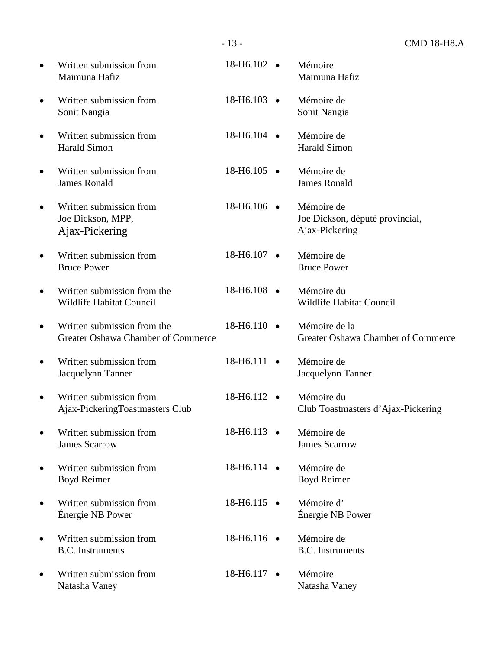|           |                                                                   | $-13-$                | <b>CMD 18-H8.A</b>                                              |
|-----------|-------------------------------------------------------------------|-----------------------|-----------------------------------------------------------------|
| $\bullet$ | Written submission from<br>Maimuna Hafiz                          | 18-H6.102 $\bullet$   | Mémoire<br>Maimuna Hafiz                                        |
| $\bullet$ | Written submission from<br>Sonit Nangia                           | $18-H6.103$ $\bullet$ | Mémoire de<br>Sonit Nangia                                      |
| $\bullet$ | Written submission from<br><b>Harald Simon</b>                    | 18-H6.104 •           | Mémoire de<br><b>Harald Simon</b>                               |
| $\bullet$ | Written submission from<br><b>James Ronald</b>                    | $18-H6.105$ •         | Mémoire de<br><b>James Ronald</b>                               |
| $\bullet$ | Written submission from<br>Joe Dickson, MPP,<br>Ajax-Pickering    | 18-H6.106 •           | Mémoire de<br>Joe Dickson, député provincial,<br>Ajax-Pickering |
| $\bullet$ | Written submission from<br><b>Bruce Power</b>                     | 18-H6.107 •           | Mémoire de<br><b>Bruce Power</b>                                |
| $\bullet$ | Written submission from the<br>Wildlife Habitat Council           | 18-H6.108 •           | Mémoire du<br>Wildlife Habitat Council                          |
| $\bullet$ | Written submission from the<br>Greater Oshawa Chamber of Commerce | 18-H6.110 •           | Mémoire de la<br>Greater Oshawa Chamber of Commerce             |
| $\bullet$ | Written submission from<br>Jacquelynn Tanner                      | 18-H6.111 •           | Mémoire de<br>Jacquelynn Tanner                                 |
| $\bullet$ | Written submission from<br>Ajax-PickeringToastmasters Club        | 18-H6.112             | Mémoire du<br>Club Toastmasters d'Ajax-Pickering                |
| $\bullet$ | Written submission from<br><b>James Scarrow</b>                   | 18-H6.113 •           | Mémoire de<br><b>James Scarrow</b>                              |
| $\bullet$ | Written submission from<br><b>Boyd Reimer</b>                     | 18-H6.114 •           | Mémoire de<br><b>Boyd Reimer</b>                                |
| $\bullet$ | Written submission from<br>Énergie NB Power                       | $18 - H6.115$ •       | Mémoire d'<br>Énergie NB Power                                  |
| $\bullet$ | Written submission from<br><b>B.C.</b> Instruments                | 18-H6.116 ·           | Mémoire de<br><b>B.C.</b> Instruments                           |
| $\bullet$ | Written submission from<br>Natasha Vaney                          | 18-H6.117 •           | Mémoire<br>Natasha Vaney                                        |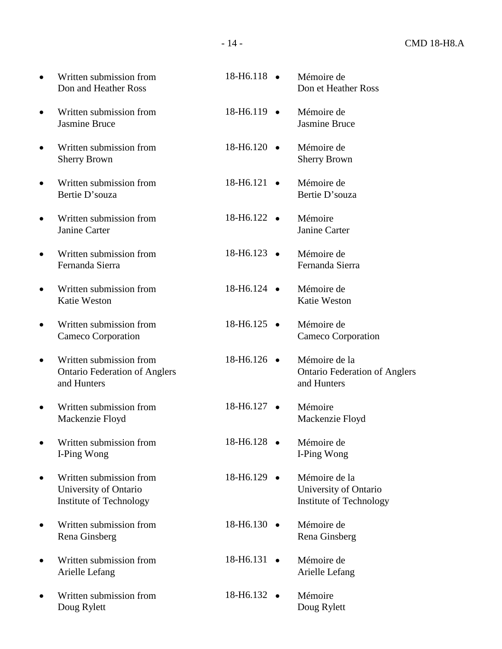- Written submission from Don and Heather Ross
- Written submission from Jasmine Bruce
- Written submission from Sherry Brown
- Written submission from Bertie D'souza
- Written submission from Janine Carter
- Written submission from Fernanda Sierra
- Written submission from Katie Weston
- Written submission from Cameco Corporation
- Written submission from Ontario Federation of Anglers and Hunters
- Written submission from Mackenzie Floyd
- Written submission from I-Ping Wong
- Written submission from University of Ontario Institute of Technology
- Written submission from Rena Ginsberg
- Written submission from Arielle Lefang
- Written submission from Doug Rylett

| $18 - H6.118$ $\bullet$ | Mémoire de<br>Don et Heather Ross                                        |
|-------------------------|--------------------------------------------------------------------------|
| 18-H6.119               | Mémoire de<br><b>Jasmine Bruce</b>                                       |
| 18-H6.120               | Mémoire de<br><b>Sherry Brown</b>                                        |
| 18-H6.121               | Mémoire de<br>Bertie D'souza                                             |
| $18 - H6.122$ $\bullet$ | Mémoire<br>Janine Carter                                                 |
| 18-H6.123               | Mémoire de<br>Fernanda Sierra                                            |
| 18-H6.124               | Mémoire de<br><b>Katie Weston</b>                                        |
| 18-H6.125               | Mémoire de<br>Cameco Corporation                                         |
| 18-H6.126               | Mémoire de la<br><b>Ontario Federation of Anglers</b><br>and Hunters     |
| 18-H6.127               | Mémoire<br>Mackenzie Floyd                                               |
| 18-H6.128               | Mémoire de<br>I-Ping Wong                                                |
| 18-H <sub>6</sub> .129  | Mémoire de la<br>University of Ontario<br><b>Institute of Technology</b> |
| 18-H6.130               | Mémoire de<br>Rena Ginsberg                                              |
| 18-H6.131               | Mémoire de<br>Arielle Lefang                                             |
| 18-H6.132               | Mémoire<br>Doug Rylett                                                   |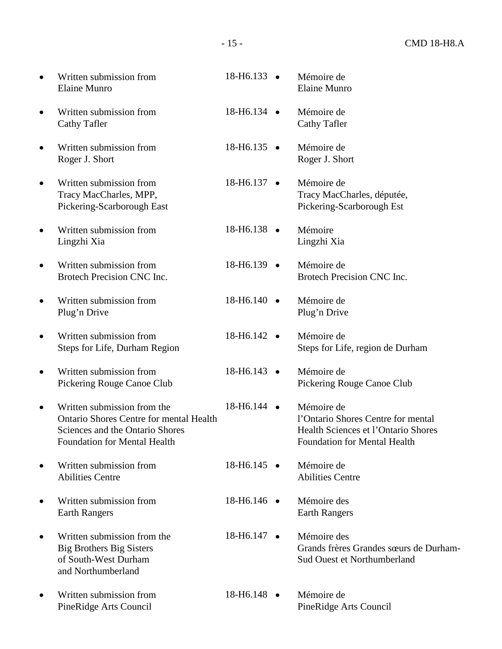| $\bullet$ | Written submission from<br><b>Elaine Munro</b>                                                                                                   | 18-H6.133 •           | Mémoire de<br><b>Elaine Munro</b>                                                                                              |
|-----------|--------------------------------------------------------------------------------------------------------------------------------------------------|-----------------------|--------------------------------------------------------------------------------------------------------------------------------|
| $\bullet$ | Written submission from<br><b>Cathy Tafler</b>                                                                                                   | 18-H6.134 •           | Mémoire de<br>Cathy Tafler                                                                                                     |
| $\bullet$ | Written submission from<br>Roger J. Short                                                                                                        | 18-H6.135 $\bullet$   | Mémoire de<br>Roger J. Short                                                                                                   |
| $\bullet$ | Written submission from<br>Tracy MacCharles, MPP,<br>Pickering-Scarborough East                                                                  | 18-H6.137 •           | Mémoire de<br>Tracy MacCharles, députée,<br>Pickering-Scarborough Est                                                          |
| $\bullet$ | Written submission from<br>Lingzhi Xia                                                                                                           | 18-H6.138 $\bullet$   | Mémoire<br>Lingzhi Xia                                                                                                         |
| $\bullet$ | Written submission from<br>Brotech Precision CNC Inc.                                                                                            | 18-H6.139 •           | Mémoire de<br>Brotech Precision CNC Inc.                                                                                       |
| $\bullet$ | Written submission from<br>Plug'n Drive                                                                                                          | 18-H6.140 •           | Mémoire de<br>Plug'n Drive                                                                                                     |
| $\bullet$ | Written submission from<br>Steps for Life, Durham Region                                                                                         | 18-H6.142 •           | Mémoire de<br>Steps for Life, region de Durham                                                                                 |
| $\bullet$ | Written submission from<br>Pickering Rouge Canoe Club                                                                                            | 18-H6.143 •           | Mémoire de<br>Pickering Rouge Canoe Club                                                                                       |
| $\bullet$ | Written submission from the<br>Ontario Shores Centre for mental Health<br>Sciences and the Ontario Shores<br><b>Foundation for Mental Health</b> | 18-H6.144 •           | Mémoire de<br>l'Ontario Shores Centre for mental<br>Health Sciences et l'Ontario Shores<br><b>Foundation for Mental Health</b> |
| $\bullet$ | Written submission from<br><b>Abilities Centre</b>                                                                                               | 18-H6.145 ·           | Mémoire de<br><b>Abilities Centre</b>                                                                                          |
| $\bullet$ | Written submission from<br><b>Earth Rangers</b>                                                                                                  | 18-H6.146 •           | Mémoire des<br><b>Earth Rangers</b>                                                                                            |
| ٠         | Written submission from the<br><b>Big Brothers Big Sisters</b><br>of South-West Durham<br>and Northumberland                                     | $18-H6.147$ $\bullet$ | Mémoire des<br>Grands frères Grandes sœurs de Durham-<br><b>Sud Ouest et Northumberland</b>                                    |
| $\bullet$ | Written submission from<br>PineRidge Arts Council                                                                                                | 18-H6.148 •           | Mémoire de<br>PineRidge Arts Council                                                                                           |